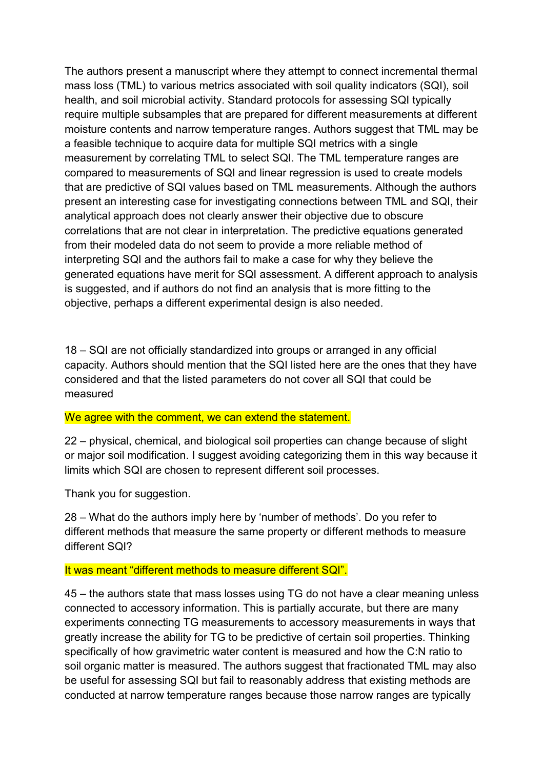The authors present a manuscript where they attempt to connect incremental thermal mass loss (TML) to various metrics associated with soil quality indicators (SQI), soil health, and soil microbial activity. Standard protocols for assessing SQI typically require multiple subsamples that are prepared for different measurements at different moisture contents and narrow temperature ranges. Authors suggest that TML may be a feasible technique to acquire data for multiple SQI metrics with a single measurement by correlating TML to select SQI. The TML temperature ranges are compared to measurements of SQI and linear regression is used to create models that are predictive of SQI values based on TML measurements. Although the authors present an interesting case for investigating connections between TML and SQI, their analytical approach does not clearly answer their objective due to obscure correlations that are not clear in interpretation. The predictive equations generated from their modeled data do not seem to provide a more reliable method of interpreting SQI and the authors fail to make a case for why they believe the generated equations have merit for SQI assessment. A different approach to analysis is suggested, and if authors do not find an analysis that is more fitting to the objective, perhaps a different experimental design is also needed.

18 – SQI are not officially standardized into groups or arranged in any official capacity. Authors should mention that the SQI listed here are the ones that they have considered and that the listed parameters do not cover all SQI that could be measured

# We agree with the comment, we can extend the statement.

22 – physical, chemical, and biological soil properties can change because of slight or major soil modification. I suggest avoiding categorizing them in this way because it limits which SQI are chosen to represent different soil processes.

Thank you for suggestion.

28 – What do the authors imply here by 'number of methods'. Do you refer to different methods that measure the same property or different methods to measure different SQI?

#### It was meant "different methods to measure different SQI".

45 – the authors state that mass losses using TG do not have a clear meaning unless connected to accessory information. This is partially accurate, but there are many experiments connecting TG measurements to accessory measurements in ways that greatly increase the ability for TG to be predictive of certain soil properties. Thinking specifically of how gravimetric water content is measured and how the C:N ratio to soil organic matter is measured. The authors suggest that fractionated TML may also be useful for assessing SQI but fail to reasonably address that existing methods are conducted at narrow temperature ranges because those narrow ranges are typically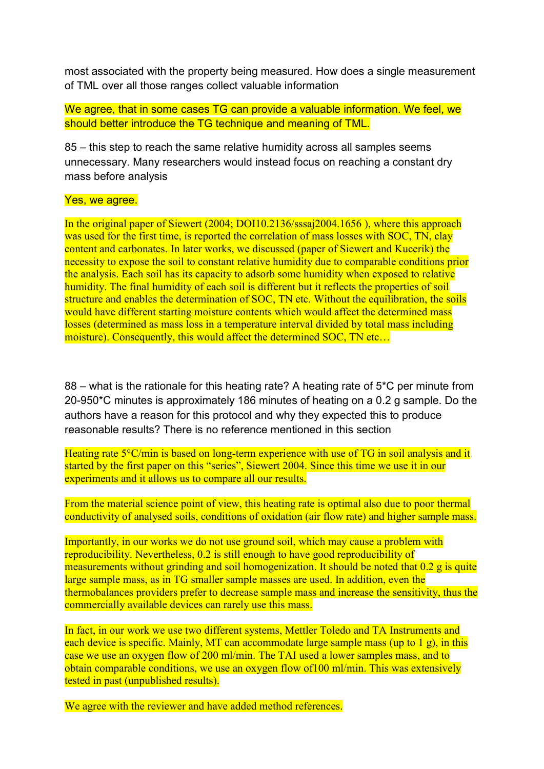most associated with the property being measured. How does a single measurement of TML over all those ranges collect valuable information

We agree, that in some cases TG can provide a valuable information. We feel, we should better introduce the TG technique and meaning of TML.

85 – this step to reach the same relative humidity across all samples seems unnecessary. Many researchers would instead focus on reaching a constant dry mass before analysis

# Yes, we agree.

In the original paper of Siewert (2004; DOI10.2136/sssaj2004.1656 ), where this approach was used for the first time, is reported the correlation of mass losses with SOC, TN, clay content and carbonates. In later works, we discussed (paper of Siewert and Kucerik) the necessity to expose the soil to constant relative humidity due to comparable conditions prior the analysis. Each soil has its capacity to adsorb some humidity when exposed to relative humidity. The final humidity of each soil is different but it reflects the properties of soil structure and enables the determination of SOC. TN etc. Without the equilibration, the soils would have different starting moisture contents which would affect the determined mass losses (determined as mass loss in a temperature interval divided by total mass including moisture). Consequently, this would affect the determined SOC, TN etc...

88 – what is the rationale for this heating rate? A heating rate of 5\*C per minute from 20-950\*C minutes is approximately 186 minutes of heating on a 0.2 g sample. Do the authors have a reason for this protocol and why they expected this to produce reasonable results? There is no reference mentioned in this section

Heating rate 5°C/min is based on long-term experience with use of TG in soil analysis and it started by the first paper on this "series", Siewert 2004. Since this time we use it in our experiments and it allows us to compare all our results.

From the material science point of view, this heating rate is optimal also due to poor thermal conductivity of analysed soils, conditions of oxidation (air flow rate) and higher sample mass.

Importantly, in our works we do not use ground soil, which may cause a problem with reproducibility. Nevertheless, 0.2 is still enough to have good reproducibility of measurements without grinding and soil homogenization. It should be noted that 0.2 g is quite large sample mass, as in TG smaller sample masses are used. In addition, even the thermobalances providers prefer to decrease sample mass and increase the sensitivity, thus the commercially available devices can rarely use this mass.

In fact, in our work we use two different systems, Mettler Toledo and TA Instruments and each device is specific. Mainly, MT can accommodate large sample mass (up to 1 g), in this case we use an oxygen flow of 200 ml/min. The TAI used a lower samples mass, and to obtain comparable conditions, we use an oxygen flow of100 ml/min. This was extensively tested in past (unpublished results).

We agree with the reviewer and have added method references.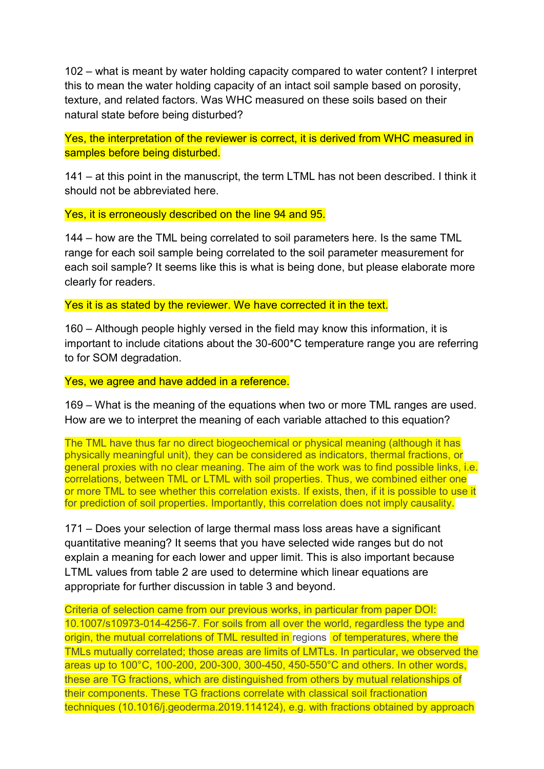102 – what is meant by water holding capacity compared to water content? I interpret this to mean the water holding capacity of an intact soil sample based on porosity, texture, and related factors. Was WHC measured on these soils based on their natural state before being disturbed?

Yes, the interpretation of the reviewer is correct, it is derived from WHC measured in samples before being disturbed.

141 – at this point in the manuscript, the term LTML has not been described. I think it should not be abbreviated here.

Yes, it is erroneously described on the line 94 and 95.

144 – how are the TML being correlated to soil parameters here. Is the same TML range for each soil sample being correlated to the soil parameter measurement for each soil sample? It seems like this is what is being done, but please elaborate more clearly for readers.

Yes it is as stated by the reviewer. We have corrected it in the text.

160 – Although people highly versed in the field may know this information, it is important to include citations about the 30-600\*C temperature range you are referring to for SOM degradation.

Yes, we agree and have added in a reference.

169 – What is the meaning of the equations when two or more TML ranges are used. How are we to interpret the meaning of each variable attached to this equation?

The TML have thus far no direct biogeochemical or physical meaning (although it has physically meaningful unit), they can be considered as indicators, thermal fractions, or general proxies with no clear meaning. The aim of the work was to find possible links, i.e. correlations, between TML or LTML with soil properties. Thus, we combined either one or more TML to see whether this correlation exists. If exists, then, if it is possible to use it for prediction of soil properties. Importantly, this correlation does not imply causality.

171 – Does your selection of large thermal mass loss areas have a significant quantitative meaning? It seems that you have selected wide ranges but do not explain a meaning for each lower and upper limit. This is also important because LTML values from table 2 are used to determine which linear equations are appropriate for further discussion in table 3 and beyond.

Criteria of selection came from our previous works, in particular from paper DOI: 10.1007/s10973-014-4256-7. For soils from all over the world, regardless the type and origin, the mutual correlations of TML resulted in regions of temperatures, where the TMLs mutually correlated; those areas are limits of LMTLs. In particular, we observed the areas up to 100°C, 100-200, 200-300, 300-450, 450-550°C and others. In other words, these are TG fractions, which are distinguished from others by mutual relationships of their components. These TG fractions correlate with classical soil fractionation techniques (10.1016/j.geoderma.2019.114124), e.g. with fractions obtained by approach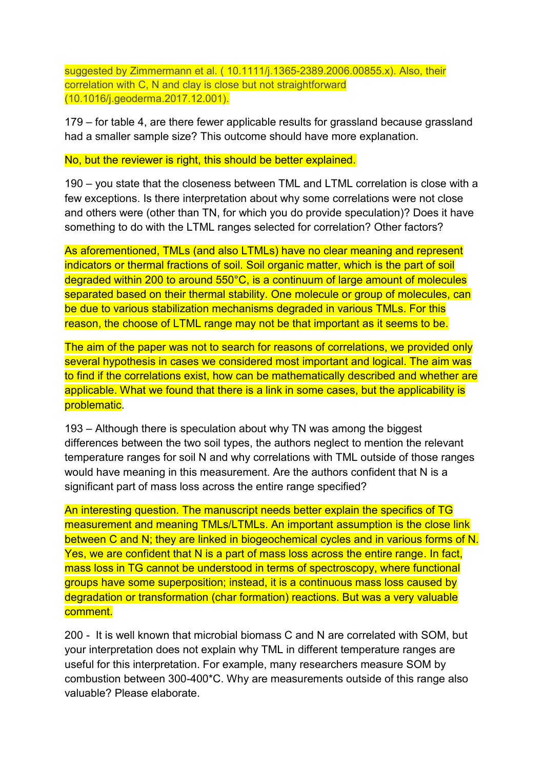suggested by Zimmermann et al. ( 10.1111/j.1365-2389.2006.00855.x). Also, their correlation with C, N and clay is close but not straightforward (10.1016/j.geoderma.2017.12.001).

179 – for table 4, are there fewer applicable results for grassland because grassland had a smaller sample size? This outcome should have more explanation.

### No, but the reviewer is right, this should be better explained.

190 – you state that the closeness between TML and LTML correlation is close with a few exceptions. Is there interpretation about why some correlations were not close and others were (other than TN, for which you do provide speculation)? Does it have something to do with the LTML ranges selected for correlation? Other factors?

As aforementioned, TMLs (and also LTMLs) have no clear meaning and represent indicators or thermal fractions of soil. Soil organic matter, which is the part of soil degraded within 200 to around 550°C, is a continuum of large amount of molecules separated based on their thermal stability. One molecule or group of molecules, can be due to various stabilization mechanisms degraded in various TMLs. For this reason, the choose of LTML range may not be that important as it seems to be.

The aim of the paper was not to search for reasons of correlations, we provided only several hypothesis in cases we considered most important and logical. The aim was to find if the correlations exist, how can be mathematically described and whether are applicable. What we found that there is a link in some cases, but the applicability is problematic.

193 – Although there is speculation about why TN was among the biggest differences between the two soil types, the authors neglect to mention the relevant temperature ranges for soil N and why correlations with TML outside of those ranges would have meaning in this measurement. Are the authors confident that N is a significant part of mass loss across the entire range specified?

An interesting question. The manuscript needs better explain the specifics of TG measurement and meaning TMLs/LTMLs. An important assumption is the close link between C and N; they are linked in biogeochemical cycles and in various forms of N. Yes, we are confident that N is a part of mass loss across the entire range. In fact, mass loss in TG cannot be understood in terms of spectroscopy, where functional groups have some superposition; instead, it is a continuous mass loss caused by degradation or transformation (char formation) reactions. But was a very valuable comment.

200 - It is well known that microbial biomass C and N are correlated with SOM, but your interpretation does not explain why TML in different temperature ranges are useful for this interpretation. For example, many researchers measure SOM by combustion between 300-400\*C. Why are measurements outside of this range also valuable? Please elaborate.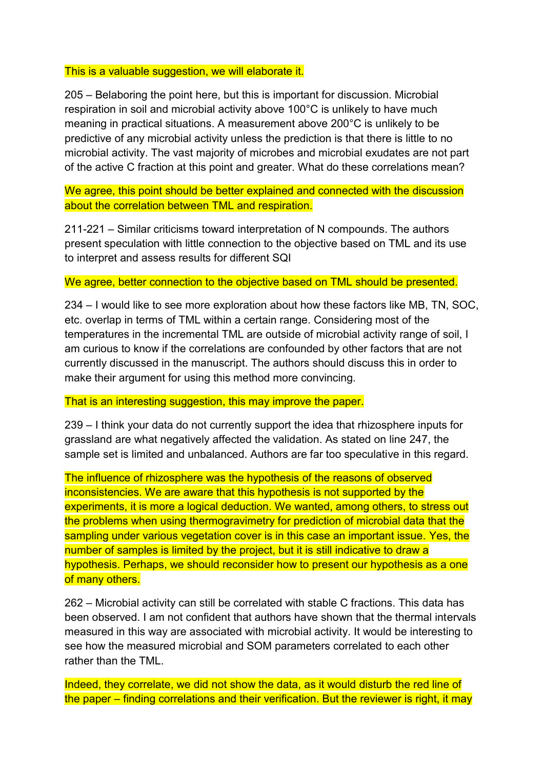### This is a valuable suggestion, we will elaborate it.

205 – Belaboring the point here, but this is important for discussion. Microbial respiration in soil and microbial activity above 100°C is unlikely to have much meaning in practical situations. A measurement above 200°C is unlikely to be predictive of any microbial activity unless the prediction is that there is little to no microbial activity. The vast majority of microbes and microbial exudates are not part of the active C fraction at this point and greater. What do these correlations mean?

We agree, this point should be better explained and connected with the discussion about the correlation between TML and respiration.

211-221 – Similar criticisms toward interpretation of N compounds. The authors present speculation with little connection to the objective based on TML and its use to interpret and assess results for different SQI

### We agree, better connection to the objective based on TML should be presented.

234 – I would like to see more exploration about how these factors like MB, TN, SOC, etc. overlap in terms of TML within a certain range. Considering most of the temperatures in the incremental TML are outside of microbial activity range of soil, I am curious to know if the correlations are confounded by other factors that are not currently discussed in the manuscript. The authors should discuss this in order to make their argument for using this method more convincing.

# That is an interesting suggestion, this may improve the paper.

239 – I think your data do not currently support the idea that rhizosphere inputs for grassland are what negatively affected the validation. As stated on line 247, the sample set is limited and unbalanced. Authors are far too speculative in this regard.

The influence of rhizosphere was the hypothesis of the reasons of observed inconsistencies. We are aware that this hypothesis is not supported by the experiments, it is more a logical deduction. We wanted, among others, to stress out the problems when using thermogravimetry for prediction of microbial data that the sampling under various vegetation cover is in this case an important issue. Yes, the number of samples is limited by the project, but it is still indicative to draw a hypothesis. Perhaps, we should reconsider how to present our hypothesis as a one of many others.

262 – Microbial activity can still be correlated with stable C fractions. This data has been observed. I am not confident that authors have shown that the thermal intervals measured in this way are associated with microbial activity. It would be interesting to see how the measured microbial and SOM parameters correlated to each other rather than the TML.

Indeed, they correlate, we did not show the data, as it would disturb the red line of the paper – finding correlations and their verification. But the reviewer is right, it may